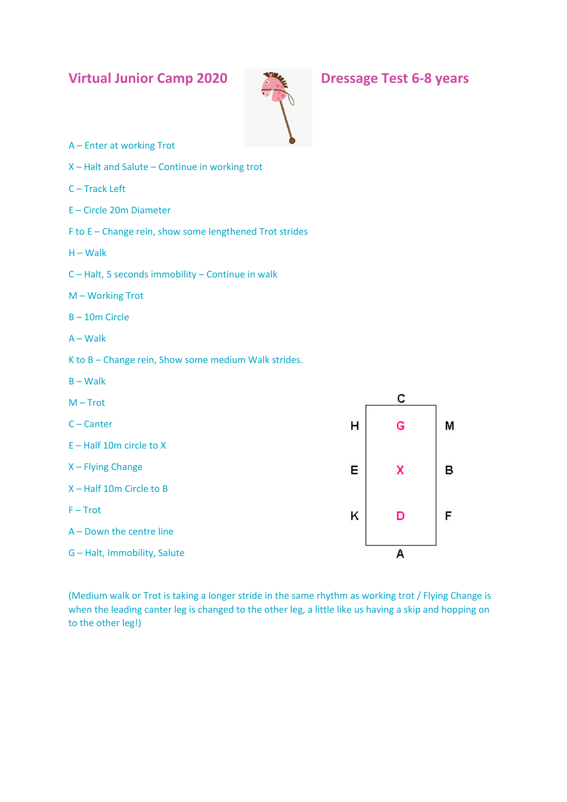## **Virtual Junior Camp 2020 Dressage Test 6-8 years**



- A Enter at working Trot
- X Halt and Salute Continue in working trot
- C Track Left
- E Circle 20m Diameter
- F to E Change rein, show some lengthened Trot strides
- $H W$ alk
- C Halt, 5 seconds immobility Continue in walk
- M Working Trot
- B 10m Circle
- A Walk
- K to B Change rein, Show some medium Walk strides.
- B Walk
- c  $M - Trot$ C – Canter Ġ м  $H$ E – Half 10m circle to X X – Flying Change E B x X – Half 10m Circle to B  $F - Trot$ F K D A – Down the centre line G – Halt, Immobility, Salute A

(Medium walk or Trot is taking a longer stride in the same rhythm as working trot / Flying Change is when the leading canter leg is changed to the other leg, a little like us having a skip and hopping on to the other leg!)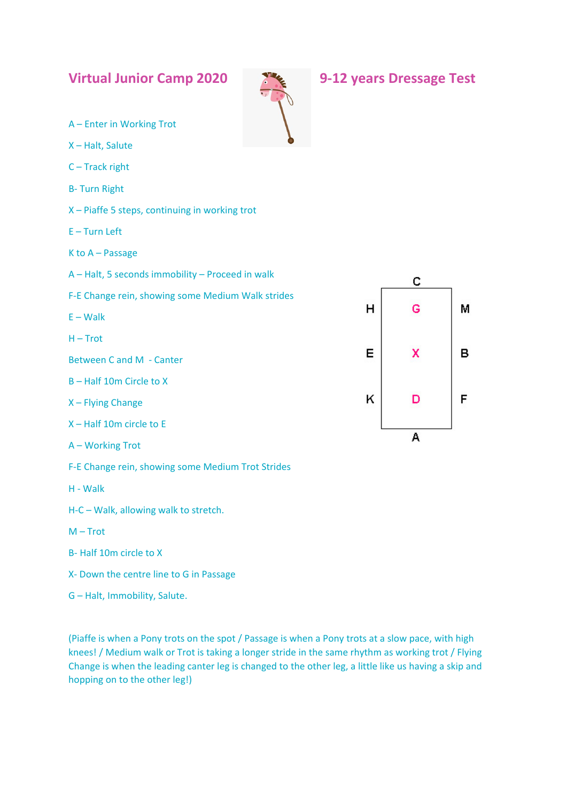| <b>Virtual Junior Camp 2020</b>                   |  |   | 9-12 years Dressage Test |   |
|---------------------------------------------------|--|---|--------------------------|---|
| A - Enter in Working Trot                         |  |   |                          |   |
| X-Halt, Salute                                    |  |   |                          |   |
| $C-$ Track right                                  |  |   |                          |   |
| <b>B-Turn Right</b>                               |  |   |                          |   |
| X-Piaffe 5 steps, continuing in working trot      |  |   |                          |   |
| $E - Turn$ Left                                   |  |   |                          |   |
| $K$ to $A$ – Passage                              |  |   |                          |   |
| A - Halt, 5 seconds immobility - Proceed in walk  |  |   | с                        |   |
| F-E Change rein, showing some Medium Walk strides |  |   |                          |   |
| $E - Walk$                                        |  | H | G                        | М |
| $H - Trot$                                        |  |   |                          |   |
| <b>Between C and M - Canter</b>                   |  | Е | x                        | в |
| B-Half 10m Circle to X                            |  |   |                          |   |
| X - Flying Change                                 |  | ĸ | D                        | F |
| X-Half 10m circle to E                            |  |   |                          |   |
| A - Working Trot                                  |  |   | A                        |   |
| F-E Change rein, showing some Medium Trot Strides |  |   |                          |   |
| H - Walk                                          |  |   |                          |   |
| H-C - Walk, allowing walk to stretch.             |  |   |                          |   |
| $M - Trot$                                        |  |   |                          |   |
| B-Half 10m circle to X                            |  |   |                          |   |

- X- Down the centre line to G in Passage
- G Halt, Immobility, Salute.

(Piaffe is when a Pony trots on the spot / Passage is when a Pony trots at a slow pace, with high knees! / Medium walk or Trot is taking a longer stride in the same rhythm as working trot / Flying Change is when the leading canter leg is changed to the other leg, a little like us having a skip and hopping on to the other leg!)